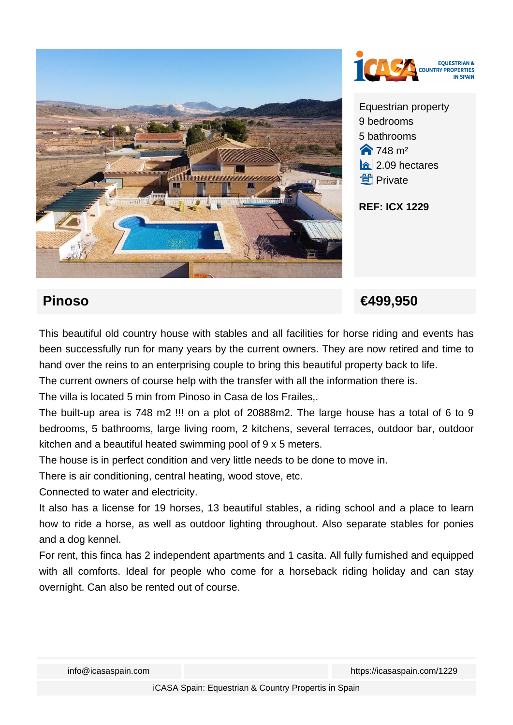



Equestrian property 9 bedrooms 5 bathrooms  $\bigotimes$  748 m<sup>2</sup>  $\hat{a}$  2.09 hectares **ff** Private

**REF: ICX 1229**

## **Pinoso €499,950**

This beautiful old country house with stables and all facilities for horse riding and events has been successfully run for many years by the current owners. They are now retired and time to hand over the reins to an enterprising couple to bring this beautiful property back to life.

The current owners of course help with the transfer with all the information there is.

The villa is located 5 min from Pinoso in Casa de los Frailes,.

The built-up area is 748 m2 !!! on a plot of 20888m2. The large house has a total of 6 to 9 bedrooms, 5 bathrooms, large living room, 2 kitchens, several terraces, outdoor bar, outdoor kitchen and a beautiful heated swimming pool of 9 x 5 meters.

The house is in perfect condition and very little needs to be done to move in.

There is air conditioning, central heating, wood stove, etc.

Connected to water and electricity.

It also has a license for 19 horses, 13 beautiful stables, a riding school and a place to learn how to ride a horse, as well as outdoor lighting throughout. Also separate stables for ponies and a dog kennel.

For rent, this finca has 2 independent apartments and 1 casita. All fully furnished and equipped with all comforts. Ideal for people who come for a horseback riding holiday and can stay overnight. Can also be rented out of course.